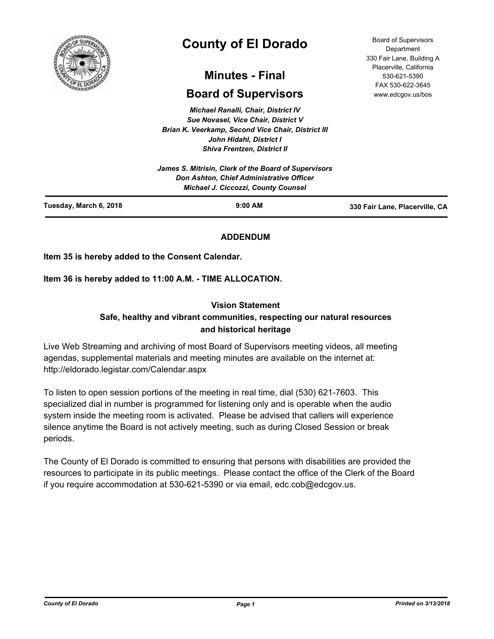

# **County of El Dorado**

# **Minutes - Final**

# **Board of Supervisors**

*Michael Ranalli, Chair, District IV Sue Novasel, Vice Chair, District V Brian K. Veerkamp, Second Vice Chair, District III John Hidahl, District I Shiva Frentzen, District II*

|                        | James S. Mitrisin, Clerk of the Board of Supervisors<br>Don Ashton, Chief Administrative Officer<br><b>Michael J. Ciccozzi, County Counsel</b> |                                |
|------------------------|------------------------------------------------------------------------------------------------------------------------------------------------|--------------------------------|
| Tuesday, March 6, 2018 | $9:00$ AM                                                                                                                                      | 330 Fair Lane, Placerville, CA |

# **ADDENDUM**

**Item 35 is hereby added to the Consent Calendar.**

**Item 36 is hereby added to 11:00 A.M. - TIME ALLOCATION.**

# **Vision Statement**

# **Safe, healthy and vibrant communities, respecting our natural resources and historical heritage**

Live Web Streaming and archiving of most Board of Supervisors meeting videos, all meeting agendas, supplemental materials and meeting minutes are available on the internet at: http://eldorado.legistar.com/Calendar.aspx

To listen to open session portions of the meeting in real time, dial (530) 621-7603. This specialized dial in number is programmed for listening only and is operable when the audio system inside the meeting room is activated. Please be advised that callers will experience silence anytime the Board is not actively meeting, such as during Closed Session or break periods.

The County of El Dorado is committed to ensuring that persons with disabilities are provided the resources to participate in its public meetings. Please contact the office of the Clerk of the Board if you require accommodation at 530-621-5390 or via email, edc.cob@edcgov.us.

Board of Supervisors Department 330 Fair Lane, Building A Placerville, California 530-621-5390 FAX 530-622-3645 www.edcgov.us/bos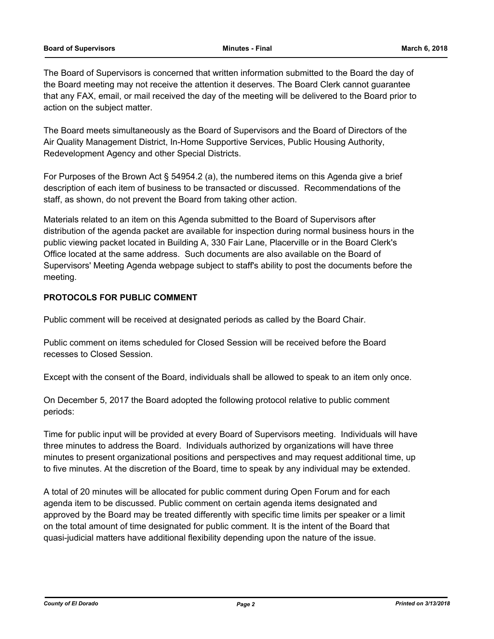#### **Board of Supervisors Minutes - Final March 6, 2018**

The Board of Supervisors is concerned that written information submitted to the Board the day of the Board meeting may not receive the attention it deserves. The Board Clerk cannot guarantee that any FAX, email, or mail received the day of the meeting will be delivered to the Board prior to action on the subject matter.

The Board meets simultaneously as the Board of Supervisors and the Board of Directors of the Air Quality Management District, In-Home Supportive Services, Public Housing Authority, Redevelopment Agency and other Special Districts.

For Purposes of the Brown Act § 54954.2 (a), the numbered items on this Agenda give a brief description of each item of business to be transacted or discussed. Recommendations of the staff, as shown, do not prevent the Board from taking other action.

Materials related to an item on this Agenda submitted to the Board of Supervisors after distribution of the agenda packet are available for inspection during normal business hours in the public viewing packet located in Building A, 330 Fair Lane, Placerville or in the Board Clerk's Office located at the same address. Such documents are also available on the Board of Supervisors' Meeting Agenda webpage subject to staff's ability to post the documents before the meeting.

# **PROTOCOLS FOR PUBLIC COMMENT**

Public comment will be received at designated periods as called by the Board Chair.

Public comment on items scheduled for Closed Session will be received before the Board recesses to Closed Session.

Except with the consent of the Board, individuals shall be allowed to speak to an item only once.

On December 5, 2017 the Board adopted the following protocol relative to public comment periods:

Time for public input will be provided at every Board of Supervisors meeting. Individuals will have three minutes to address the Board. Individuals authorized by organizations will have three minutes to present organizational positions and perspectives and may request additional time, up to five minutes. At the discretion of the Board, time to speak by any individual may be extended.

A total of 20 minutes will be allocated for public comment during Open Forum and for each agenda item to be discussed. Public comment on certain agenda items designated and approved by the Board may be treated differently with specific time limits per speaker or a limit on the total amount of time designated for public comment. It is the intent of the Board that quasi-judicial matters have additional flexibility depending upon the nature of the issue.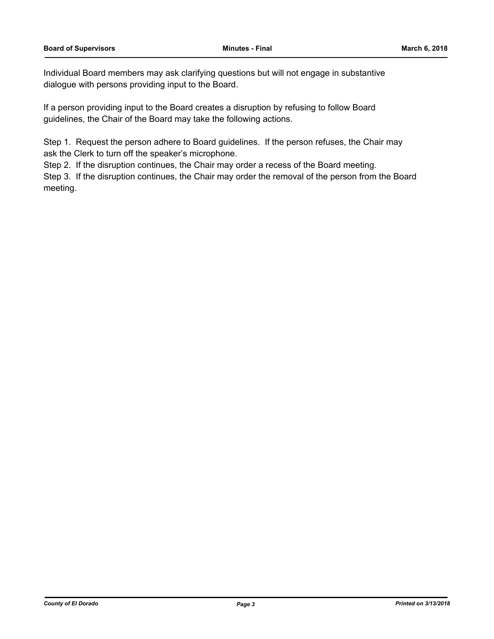Individual Board members may ask clarifying questions but will not engage in substantive dialogue with persons providing input to the Board.

If a person providing input to the Board creates a disruption by refusing to follow Board guidelines, the Chair of the Board may take the following actions.

Step 1. Request the person adhere to Board guidelines. If the person refuses, the Chair may ask the Clerk to turn off the speaker's microphone.

Step 2. If the disruption continues, the Chair may order a recess of the Board meeting.

Step 3. If the disruption continues, the Chair may order the removal of the person from the Board meeting.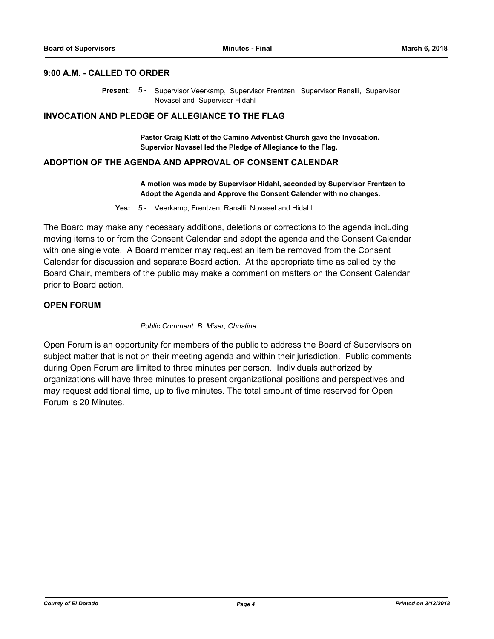# **9:00 A.M. - CALLED TO ORDER**

Present: 5 - Supervisor Veerkamp, Supervisor Frentzen, Supervisor Ranalli, Supervisor Novasel and Supervisor Hidahl

## **INVOCATION AND PLEDGE OF ALLEGIANCE TO THE FLAG**

**Pastor Craig Klatt of the Camino Adventist Church gave the Invocation. Supervior Novasel led the Pledge of Allegiance to the Flag.**

#### **ADOPTION OF THE AGENDA AND APPROVAL OF CONSENT CALENDAR**

**A motion was made by Supervisor Hidahl, seconded by Supervisor Frentzen to Adopt the Agenda and Approve the Consent Calender with no changes.**

**Yes:** 5 - Veerkamp, Frentzen, Ranalli, Novasel and Hidahl

The Board may make any necessary additions, deletions or corrections to the agenda including moving items to or from the Consent Calendar and adopt the agenda and the Consent Calendar with one single vote. A Board member may request an item be removed from the Consent Calendar for discussion and separate Board action. At the appropriate time as called by the Board Chair, members of the public may make a comment on matters on the Consent Calendar prior to Board action.

#### **OPEN FORUM**

*Public Comment: B. Miser, Christine*

Open Forum is an opportunity for members of the public to address the Board of Supervisors on subject matter that is not on their meeting agenda and within their jurisdiction. Public comments during Open Forum are limited to three minutes per person. Individuals authorized by organizations will have three minutes to present organizational positions and perspectives and may request additional time, up to five minutes. The total amount of time reserved for Open Forum is 20 Minutes.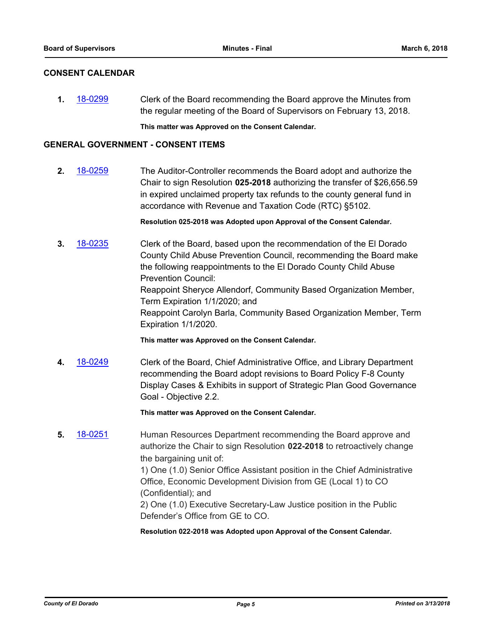# **CONSENT CALENDAR**

**1.** [18-0299](http://eldorado.legistar.com/gateway.aspx?m=l&id=/matter.aspx?key=23642) Clerk of the Board recommending the Board approve the Minutes from the regular meeting of the Board of Supervisors on February 13, 2018.

**This matter was Approved on the Consent Calendar.**

# **GENERAL GOVERNMENT - CONSENT ITEMS**

**2.** [18-0259](http://eldorado.legistar.com/gateway.aspx?m=l&id=/matter.aspx?key=23602) The Auditor-Controller recommends the Board adopt and authorize the Chair to sign Resolution **025-2018** authorizing the transfer of \$26,656.59 in expired unclaimed property tax refunds to the county general fund in accordance with Revenue and Taxation Code (RTC) §5102.

**Resolution 025-2018 was Adopted upon Approval of the Consent Calendar.**

**3.** [18-0235](http://eldorado.legistar.com/gateway.aspx?m=l&id=/matter.aspx?key=23577) Clerk of the Board, based upon the recommendation of the El Dorado County Child Abuse Prevention Council, recommending the Board make the following reappointments to the El Dorado County Child Abuse Prevention Council: Reappoint Sheryce Allendorf, Community Based Organization Member, Term Expiration 1/1/2020; and Reappoint Carolyn Barla, Community Based Organization Member, Term Expiration 1/1/2020.

**This matter was Approved on the Consent Calendar.**

**4.** [18-0249](http://eldorado.legistar.com/gateway.aspx?m=l&id=/matter.aspx?key=23592) Clerk of the Board, Chief Administrative Office, and Library Department recommending the Board adopt revisions to Board Policy F-8 County Display Cases & Exhibits in support of Strategic Plan Good Governance Goal - Objective 2.2.

**This matter was Approved on the Consent Calendar.**

**5.** [18-0251](http://eldorado.legistar.com/gateway.aspx?m=l&id=/matter.aspx?key=23594) Human Resources Department recommending the Board approve and authorize the Chair to sign Resolution **022-2018** to retroactively change the bargaining unit of:

> 1) One (1.0) Senior Office Assistant position in the Chief Administrative Office, Economic Development Division from GE (Local 1) to CO (Confidential); and

2) One (1.0) Executive Secretary-Law Justice position in the Public Defender's Office from GE to CO.

**Resolution 022-2018 was Adopted upon Approval of the Consent Calendar.**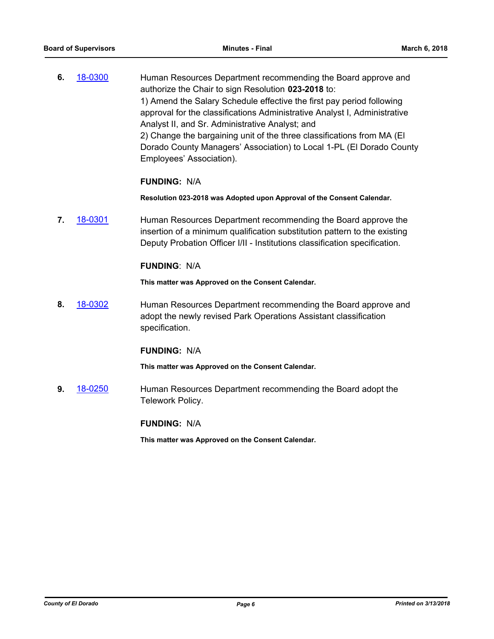**6.** [18-0300](http://eldorado.legistar.com/gateway.aspx?m=l&id=/matter.aspx?key=23643) Human Resources Department recommending the Board approve and authorize the Chair to sign Resolution **023-2018** to: 1) Amend the Salary Schedule effective the first pay period following approval for the classifications Administrative Analyst I, Administrative Analyst II, and Sr. Administrative Analyst; and 2) Change the bargaining unit of the three classifications from MA (El Dorado County Managers' Association) to Local 1-PL (El Dorado County Employees' Association).

# **FUNDING:** N/A

**Resolution 023-2018 was Adopted upon Approval of the Consent Calendar.**

**7.** [18-0301](http://eldorado.legistar.com/gateway.aspx?m=l&id=/matter.aspx?key=23644) Human Resources Department recommending the Board approve the insertion of a minimum qualification substitution pattern to the existing Deputy Probation Officer I/II - Institutions classification specification.

# **FUNDING**: N/A

**This matter was Approved on the Consent Calendar.**

**8.** [18-0302](http://eldorado.legistar.com/gateway.aspx?m=l&id=/matter.aspx?key=23645) Human Resources Department recommending the Board approve and adopt the newly revised Park Operations Assistant classification specification.

# **FUNDING:** N/A

**This matter was Approved on the Consent Calendar.**

**9.** [18-0250](http://eldorado.legistar.com/gateway.aspx?m=l&id=/matter.aspx?key=23593) Human Resources Department recommending the Board adopt the Telework Policy.

#### **FUNDING:** N/A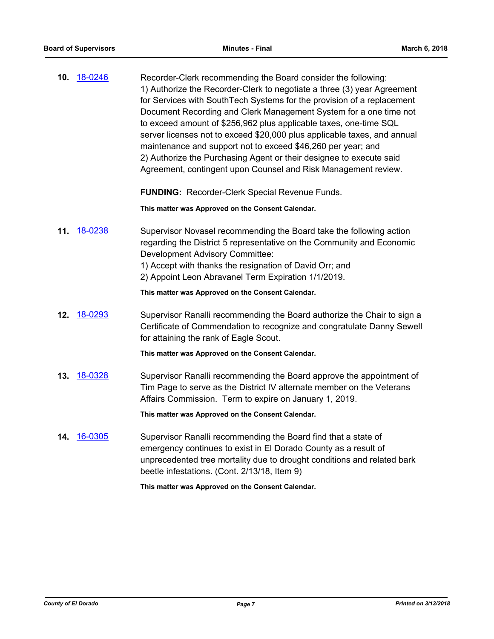**10.** [18-0246](http://eldorado.legistar.com/gateway.aspx?m=l&id=/matter.aspx?key=23589) Recorder-Clerk recommending the Board consider the following: 1) Authorize the Recorder-Clerk to negotiate a three (3) year Agreement for Services with SouthTech Systems for the provision of a replacement Document Recording and Clerk Management System for a one time not to exceed amount of \$256,962 plus applicable taxes, one-time SQL server licenses not to exceed \$20,000 plus applicable taxes, and annual maintenance and support not to exceed \$46,260 per year; and 2) Authorize the Purchasing Agent or their designee to execute said Agreement, contingent upon Counsel and Risk Management review.

**FUNDING:** Recorder-Clerk Special Revenue Funds.

**This matter was Approved on the Consent Calendar.**

- **11.** [18-0238](http://eldorado.legistar.com/gateway.aspx?m=l&id=/matter.aspx?key=23580) Supervisor Novasel recommending the Board take the following action regarding the District 5 representative on the Community and Economic Development Advisory Committee:
	- 1) Accept with thanks the resignation of David Orr; and
	- 2) Appoint Leon Abravanel Term Expiration 1/1/2019.

**This matter was Approved on the Consent Calendar.**

**12.** [18-0293](http://eldorado.legistar.com/gateway.aspx?m=l&id=/matter.aspx?key=23636) Supervisor Ranalli recommending the Board authorize the Chair to sign a Certificate of Commendation to recognize and congratulate Danny Sewell for attaining the rank of Eagle Scout.

**This matter was Approved on the Consent Calendar.**

**13.** [18-0328](http://eldorado.legistar.com/gateway.aspx?m=l&id=/matter.aspx?key=23671) Supervisor Ranalli recommending the Board approve the appointment of Tim Page to serve as the District IV alternate member on the Veterans Affairs Commission. Term to expire on January 1, 2019.

**This matter was Approved on the Consent Calendar.**

**14.** [16-0305](http://eldorado.legistar.com/gateway.aspx?m=l&id=/matter.aspx?key=20961) Supervisor Ranalli recommending the Board find that a state of emergency continues to exist in El Dorado County as a result of unprecedented tree mortality due to drought conditions and related bark beetle infestations. (Cont. 2/13/18, Item 9)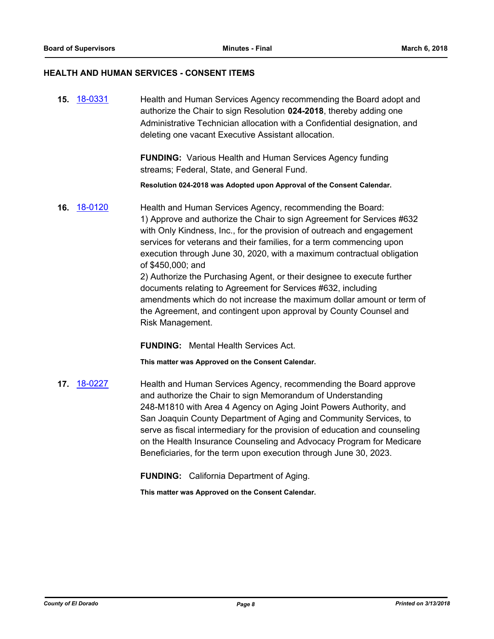# **HEALTH AND HUMAN SERVICES - CONSENT ITEMS**

| 15. | 18-0331     | Health and Human Services Agency recommending the Board adopt and<br>authorize the Chair to sign Resolution 024-2018, thereby adding one<br>Administrative Technician allocation with a Confidential designation, and<br>deleting one vacant Executive Assistant allocation.                                                                                                                                                                                                                                                                                                                                                                                                  |
|-----|-------------|-------------------------------------------------------------------------------------------------------------------------------------------------------------------------------------------------------------------------------------------------------------------------------------------------------------------------------------------------------------------------------------------------------------------------------------------------------------------------------------------------------------------------------------------------------------------------------------------------------------------------------------------------------------------------------|
|     |             | <b>FUNDING:</b> Various Health and Human Services Agency funding<br>streams; Federal, State, and General Fund.                                                                                                                                                                                                                                                                                                                                                                                                                                                                                                                                                                |
|     |             | Resolution 024-2018 was Adopted upon Approval of the Consent Calendar.                                                                                                                                                                                                                                                                                                                                                                                                                                                                                                                                                                                                        |
|     | 16. 18-0120 | Health and Human Services Agency, recommending the Board:<br>1) Approve and authorize the Chair to sign Agreement for Services #632<br>with Only Kindness, Inc., for the provision of outreach and engagement<br>services for veterans and their families, for a term commencing upon<br>execution through June 30, 2020, with a maximum contractual obligation<br>of \$450,000; and<br>2) Authorize the Purchasing Agent, or their designee to execute further<br>documents relating to Agreement for Services #632, including<br>amendments which do not increase the maximum dollar amount or term of<br>the Agreement, and contingent upon approval by County Counsel and |

Risk Management.

**FUNDING:** Mental Health Services Act.

**This matter was Approved on the Consent Calendar.**

**17.** [18-0227](http://eldorado.legistar.com/gateway.aspx?m=l&id=/matter.aspx?key=23569) Health and Human Services Agency, recommending the Board approve and authorize the Chair to sign Memorandum of Understanding 248-M1810 with Area 4 Agency on Aging Joint Powers Authority, and San Joaquin County Department of Aging and Community Services, to serve as fiscal intermediary for the provision of education and counseling on the Health Insurance Counseling and Advocacy Program for Medicare Beneficiaries, for the term upon execution through June 30, 2023.

**FUNDING:** California Department of Aging.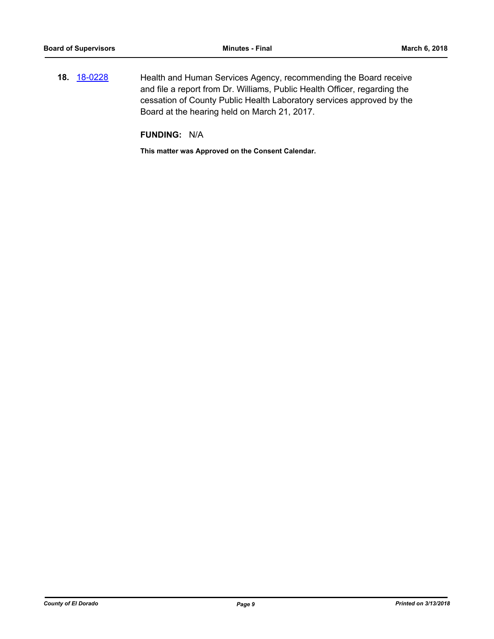**18.** [18-0228](http://eldorado.legistar.com/gateway.aspx?m=l&id=/matter.aspx?key=23570) Health and Human Services Agency, recommending the Board receive and file a report from Dr. Williams, Public Health Officer, regarding the cessation of County Public Health Laboratory services approved by the Board at the hearing held on March 21, 2017.

**FUNDING:** N/A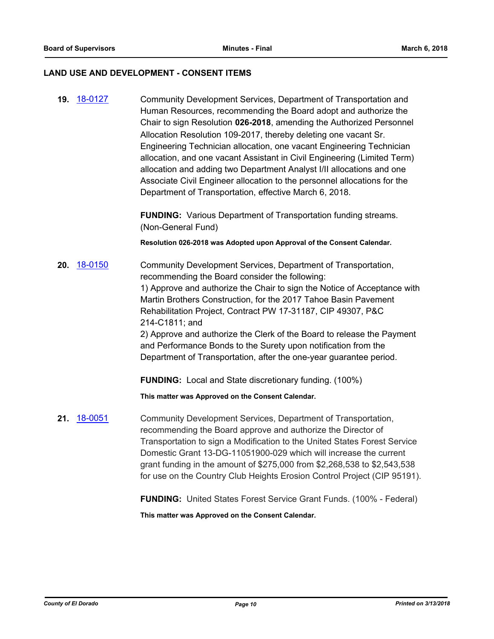#### **LAND USE AND DEVELOPMENT - CONSENT ITEMS**

**19.** [18-0127](http://eldorado.legistar.com/gateway.aspx?m=l&id=/matter.aspx?key=23469) Community Development Services, Department of Transportation and Human Resources, recommending the Board adopt and authorize the Chair to sign Resolution **026-2018**, amending the Authorized Personnel Allocation Resolution 109-2017, thereby deleting one vacant Sr. Engineering Technician allocation, one vacant Engineering Technician allocation, and one vacant Assistant in Civil Engineering (Limited Term) allocation and adding two Department Analyst I/II allocations and one Associate Civil Engineer allocation to the personnel allocations for the Department of Transportation, effective March 6, 2018.

> **FUNDING:** Various Department of Transportation funding streams. (Non-General Fund)

**Resolution 026-2018 was Adopted upon Approval of the Consent Calendar.**

**20.** [18-0150](http://eldorado.legistar.com/gateway.aspx?m=l&id=/matter.aspx?key=23492) Community Development Services, Department of Transportation, recommending the Board consider the following: 1) Approve and authorize the Chair to sign the Notice of Acceptance with Martin Brothers Construction, for the 2017 Tahoe Basin Pavement Rehabilitation Project, Contract PW 17-31187, CIP 49307, P&C 214-C1811; and 2) Approve and authorize the Clerk of the Board to release the Payment

and Performance Bonds to the Surety upon notification from the Department of Transportation, after the one-year guarantee period.

**FUNDING:** Local and State discretionary funding. (100%)

**This matter was Approved on the Consent Calendar.**

**21.** [18-0051](http://eldorado.legistar.com/gateway.aspx?m=l&id=/matter.aspx?key=23392) Community Development Services, Department of Transportation, recommending the Board approve and authorize the Director of Transportation to sign a Modification to the United States Forest Service Domestic Grant 13-DG-11051900-029 which will increase the current grant funding in the amount of \$275,000 from \$2,268,538 to \$2,543,538 for use on the Country Club Heights Erosion Control Project (CIP 95191).

**FUNDING:** United States Forest Service Grant Funds. (100% - Federal)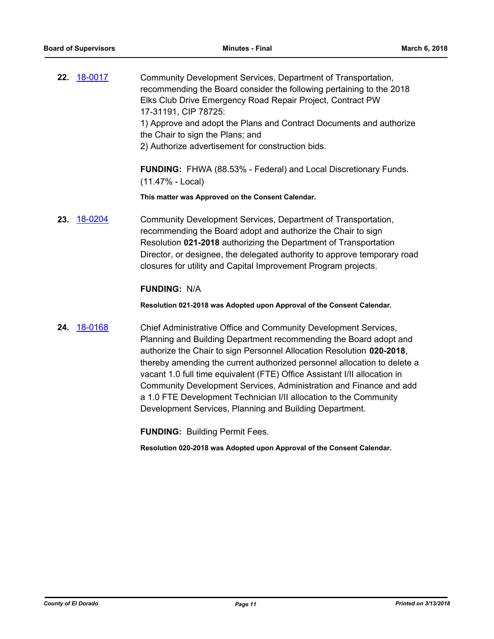| 22. <u>18-0017</u> | Community Development Services, Department of Transportation,        |
|--------------------|----------------------------------------------------------------------|
|                    | recommending the Board consider the following pertaining to the 2018 |
|                    | Elks Club Drive Emergency Road Repair Project, Contract PW           |
|                    | 17-31191, CIP 78725:                                                 |
|                    | 1) Approve and adopt the Plans and Contract Documents and authorize  |
|                    | the Chair to sign the Plans; and                                     |
|                    | 2) Authorize advertisement for construction bids.                    |
|                    |                                                                      |

**FUNDING:** FHWA (88.53% - Federal) and Local Discretionary Funds. (11.47% - Local)

**This matter was Approved on the Consent Calendar.**

**23.** [18-0204](http://eldorado.legistar.com/gateway.aspx?m=l&id=/matter.aspx?key=23546) Community Development Services, Department of Transportation, recommending the Board adopt and authorize the Chair to sign Resolution **021-2018** authorizing the Department of Transportation Director, or designee, the delegated authority to approve temporary road closures for utility and Capital Improvement Program projects.

# **FUNDING:** N/A

**Resolution 021-2018 was Adopted upon Approval of the Consent Calendar.**

**24.** [18-0168](http://eldorado.legistar.com/gateway.aspx?m=l&id=/matter.aspx?key=23510) Chief Administrative Office and Community Development Services, Planning and Building Department recommending the Board adopt and authorize the Chair to sign Personnel Allocation Resolution **020-2018**, thereby amending the current authorized personnel allocation to delete a vacant 1.0 full time equivalent (FTE) Office Assistant I/II allocation in Community Development Services, Administration and Finance and add a 1.0 FTE Development Technician I/II allocation to the Community Development Services, Planning and Building Department.

**FUNDING:** Building Permit Fees.

**Resolution 020-2018 was Adopted upon Approval of the Consent Calendar.**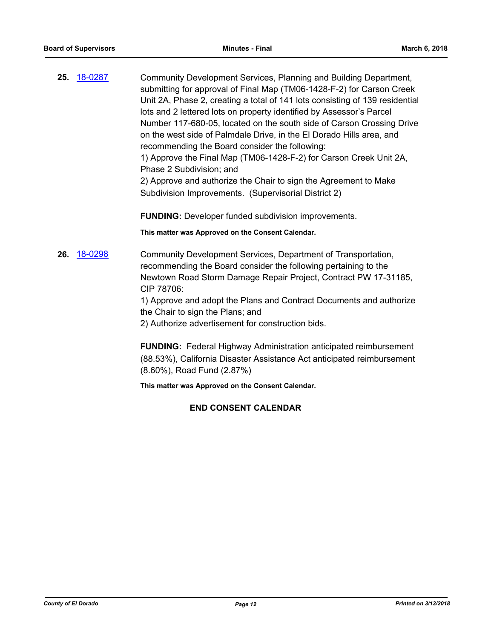**25.** [18-0287](http://eldorado.legistar.com/gateway.aspx?m=l&id=/matter.aspx?key=23630) Community Development Services, Planning and Building Department, submitting for approval of Final Map (TM06-1428-F-2) for Carson Creek Unit 2A, Phase 2, creating a total of 141 lots consisting of 139 residential lots and 2 lettered lots on property identified by Assessor's Parcel Number 117-680-05, located on the south side of Carson Crossing Drive on the west side of Palmdale Drive, in the El Dorado Hills area, and recommending the Board consider the following: 1) Approve the Final Map (TM06-1428-F-2) for Carson Creek Unit 2A, Phase 2 Subdivision; and 2) Approve and authorize the Chair to sign the Agreement to Make Subdivision Improvements. (Supervisorial District 2)

**FUNDING:** Developer funded subdivision improvements.

**This matter was Approved on the Consent Calendar.**

**26.** [18-0298](http://eldorado.legistar.com/gateway.aspx?m=l&id=/matter.aspx?key=23641) Community Development Services, Department of Transportation, recommending the Board consider the following pertaining to the Newtown Road Storm Damage Repair Project, Contract PW 17-31185, CIP 78706:

> 1) Approve and adopt the Plans and Contract Documents and authorize the Chair to sign the Plans; and

2) Authorize advertisement for construction bids.

**FUNDING:** Federal Highway Administration anticipated reimbursement (88.53%), California Disaster Assistance Act anticipated reimbursement (8.60%), Road Fund (2.87%)

**This matter was Approved on the Consent Calendar.**

# **END CONSENT CALENDAR**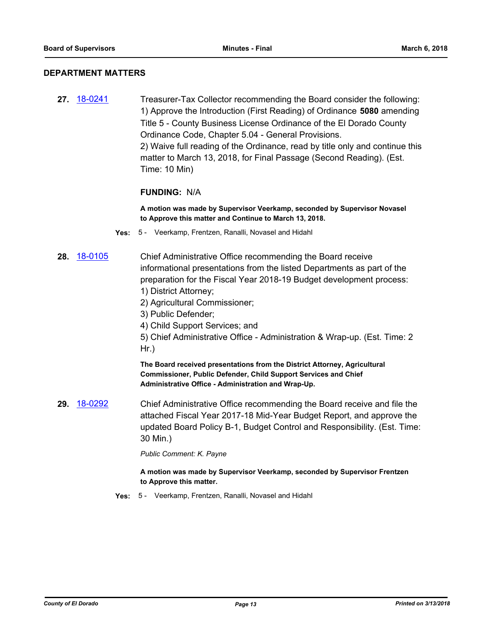# **DEPARTMENT MATTERS**

**27.** [18-0241](http://eldorado.legistar.com/gateway.aspx?m=l&id=/matter.aspx?key=23583) Treasurer-Tax Collector recommending the Board consider the following: 1) Approve the Introduction (First Reading) of Ordinance **5080** amending Title 5 - County Business License Ordinance of the El Dorado County Ordinance Code, Chapter 5.04 - General Provisions. 2) Waive full reading of the Ordinance, read by title only and continue this matter to March 13, 2018, for Final Passage (Second Reading). (Est. Time: 10 Min)

# **FUNDING:** N/A

**A motion was made by Supervisor Veerkamp, seconded by Supervisor Novasel to Approve this matter and Continue to March 13, 2018.**

- **Yes:** 5 Veerkamp, Frentzen, Ranalli, Novasel and Hidahl
- **28.** [18-0105](http://eldorado.legistar.com/gateway.aspx?m=l&id=/matter.aspx?key=23447) Chief Administrative Office recommending the Board receive informational presentations from the listed Departments as part of the preparation for the Fiscal Year 2018-19 Budget development process: 1) District Attorney;
	- 2) Agricultural Commissioner;
	- 3) Public Defender;
	- 4) Child Support Services; and

5) Chief Administrative Office - Administration & Wrap-up. (Est. Time: 2 Hr.)

**The Board received presentations from the District Attorney, Agricultural Commissioner, Public Defender, Child Support Services and Chief Administrative Office - Administration and Wrap-Up.**

**29.** [18-0292](http://eldorado.legistar.com/gateway.aspx?m=l&id=/matter.aspx?key=23635) Chief Administrative Office recommending the Board receive and file the attached Fiscal Year 2017-18 Mid-Year Budget Report, and approve the updated Board Policy B-1, Budget Control and Responsibility. (Est. Time: 30 Min.)

*Public Comment: K. Payne*

**A motion was made by Supervisor Veerkamp, seconded by Supervisor Frentzen to Approve this matter.**

**Yes:** 5 - Veerkamp, Frentzen, Ranalli, Novasel and Hidahl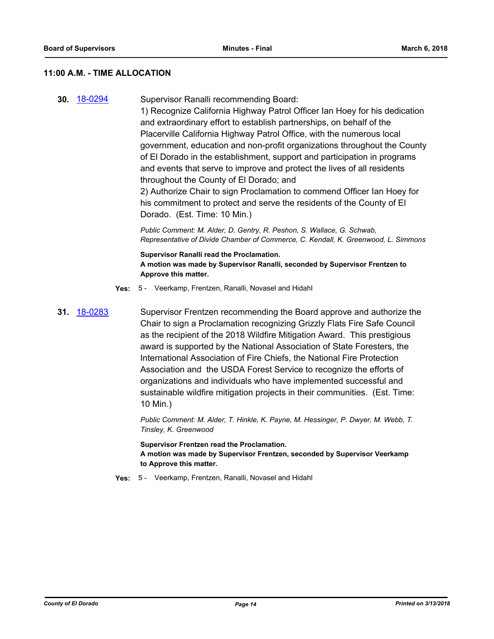# **11:00 A.M. - TIME ALLOCATION**

**30.** [18-0294](http://eldorado.legistar.com/gateway.aspx?m=l&id=/matter.aspx?key=23637) Supervisor Ranalli recommending Board:

1) Recognize California Highway Patrol Officer Ian Hoey for his dedication and extraordinary effort to establish partnerships, on behalf of the Placerville California Highway Patrol Office, with the numerous local government, education and non-profit organizations throughout the County of El Dorado in the establishment, support and participation in programs and events that serve to improve and protect the lives of all residents throughout the County of El Dorado; and

2) Authorize Chair to sign Proclamation to commend Officer Ian Hoey for his commitment to protect and serve the residents of the County of El Dorado. (Est. Time: 10 Min.)

*Public Comment: M. Alder, D. Gentry, R. Peshon, S. Wallace, G. Schwab, Representative of Divide Chamber of Commerce, C. Kendall, K. Greenwood, L. Simmons*

**Supervisor Ranalli read the Proclamation. A motion was made by Supervisor Ranalli, seconded by Supervisor Frentzen to Approve this matter.**

- **Yes:** 5 Veerkamp, Frentzen, Ranalli, Novasel and Hidahl
- **31.** [18-0283](http://eldorado.legistar.com/gateway.aspx?m=l&id=/matter.aspx?key=23626) Supervisor Frentzen recommending the Board approve and authorize the Chair to sign a Proclamation recognizing Grizzly Flats Fire Safe Council as the recipient of the 2018 Wildfire Mitigation Award. This prestigious award is supported by the National Association of State Foresters, the International Association of Fire Chiefs, the National Fire Protection Association and the USDA Forest Service to recognize the efforts of organizations and individuals who have implemented successful and sustainable wildfire mitigation projects in their communities. (Est. Time: 10 Min.)

*Public Comment: M. Alder, T. Hinkle, K. Payne, M. Hessinger, P. Dwyer, M. Webb, T. Tinsley, K. Greenwood*

**Supervisor Frentzen read the Proclamation. A motion was made by Supervisor Frentzen, seconded by Supervisor Veerkamp to Approve this matter.**

**Yes:** 5 - Veerkamp, Frentzen, Ranalli, Novasel and Hidahl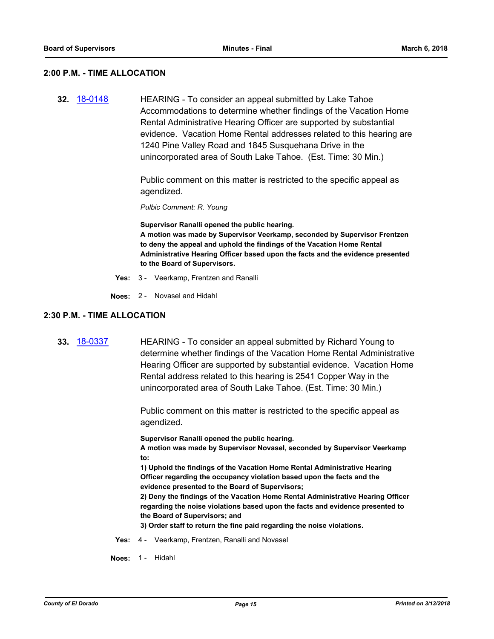#### **2:00 P.M. - TIME ALLOCATION**

**32.** [18-0148](http://eldorado.legistar.com/gateway.aspx?m=l&id=/matter.aspx?key=23490) HEARING - To consider an appeal submitted by Lake Tahoe Accommodations to determine whether findings of the Vacation Home Rental Administrative Hearing Officer are supported by substantial evidence. Vacation Home Rental addresses related to this hearing are 1240 Pine Valley Road and 1845 Susquehana Drive in the unincorporated area of South Lake Tahoe. (Est. Time: 30 Min.)

> Public comment on this matter is restricted to the specific appeal as agendized.

*Pulbic Comment: R. Young*

**Supervisor Ranalli opened the public hearing. A motion was made by Supervisor Veerkamp, seconded by Supervisor Frentzen to deny the appeal and uphold the findings of the Vacation Home Rental Administrative Hearing Officer based upon the facts and the evidence presented to the Board of Supervisors.**

- **Yes:** 3 Veerkamp, Frentzen and Ranalli
- **Noes:** 2 Novasel and Hidahl

#### **2:30 P.M. - TIME ALLOCATION**

**33.** [18-0337](http://eldorado.legistar.com/gateway.aspx?m=l&id=/matter.aspx?key=23680) HEARING - To consider an appeal submitted by Richard Young to determine whether findings of the Vacation Home Rental Administrative Hearing Officer are supported by substantial evidence. Vacation Home Rental address related to this hearing is 2541 Copper Way in the unincorporated area of South Lake Tahoe. (Est. Time: 30 Min.)

> Public comment on this matter is restricted to the specific appeal as agendized.

**Supervisor Ranalli opened the public hearing.**

**A motion was made by Supervisor Novasel, seconded by Supervisor Veerkamp to:**

**1) Uphold the findings of the Vacation Home Rental Administrative Hearing Officer regarding the occupancy violation based upon the facts and the evidence presented to the Board of Supervisors;** 

**2) Deny the findings of the Vacation Home Rental Administrative Hearing Officer regarding the noise violations based upon the facts and evidence presented to the Board of Supervisors; and** 

**3) Order staff to return the fine paid regarding the noise violations.**

- **Yes:** 4 Veerkamp, Frentzen, Ranalli and Novasel
- **Noes:** 1 Hidahl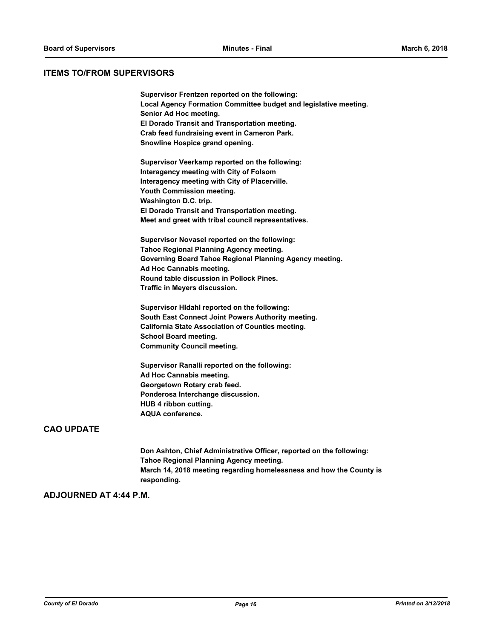# **ITEMS TO/FROM SUPERVISORS**

| Supervisor Frentzen reported on the following:                   |
|------------------------------------------------------------------|
| Local Agency Formation Committee budget and legislative meeting. |
| Senior Ad Hoc meeting.                                           |
| El Dorado Transit and Transportation meeting.                    |
| Crab feed fundraising event in Cameron Park.                     |
| Snowline Hospice grand opening.                                  |
| Supervisor Veerkamp reported on the following:                   |
| Interagency meeting with City of Folsom                          |
| Interagency meeting with City of Placerville.                    |
| Youth Commission meeting.                                        |
| Washington D.C. trip.                                            |
| El Dorado Transit and Transportation meeting.                    |
| Meet and greet with tribal council representatives.              |
| Supervisor Novasel reported on the following:                    |
| Tahoe Regional Planning Agency meeting.                          |
| Governing Board Tahoe Regional Planning Agency meeting.          |
| Ad Hoc Cannabis meeting.                                         |
| Round table discussion in Pollock Pines.                         |
| Traffic in Meyers discussion.                                    |
| Supervisor HIdahl reported on the following:                     |
| South East Connect Joint Powers Authority meeting.               |
| <b>California State Association of Counties meeting.</b>         |
| <b>School Board meeting.</b>                                     |
| <b>Community Council meeting.</b>                                |
| Supervisor Ranalli reported on the following:                    |
| Ad Hoc Cannabis meeting.                                         |
| Georgetown Rotary crab feed.                                     |
| Ponderosa Interchange discussion.                                |
| HUB 4 ribbon cutting.                                            |

# **CAO UPDATE**

**Don Ashton, Chief Administrative Officer, reported on the following: Tahoe Regional Planning Agency meeting. March 14, 2018 meeting regarding homelessness and how the County is responding.**

# **ADJOURNED AT 4:44 P.M.**

**AQUA conference.**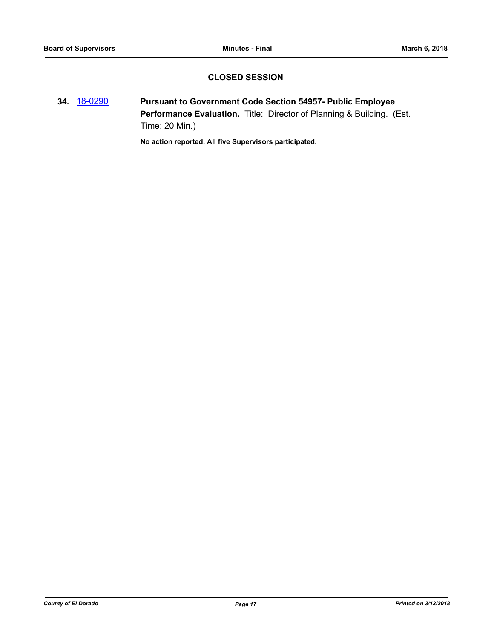# **CLOSED SESSION**

**34.** [18-0290](http://eldorado.legistar.com/gateway.aspx?m=l&id=/matter.aspx?key=23633) **Pursuant to Government Code Section 54957- Public Employee Performance Evaluation.** Title: Director of Planning & Building. (Est. Time: 20 Min.)

**No action reported. All five Supervisors participated.**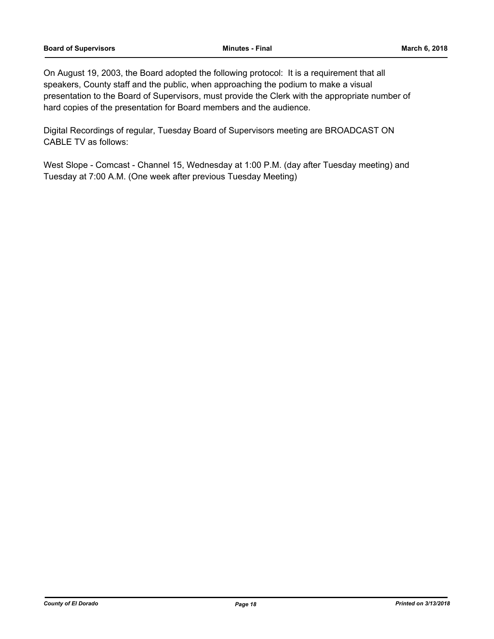On August 19, 2003, the Board adopted the following protocol: It is a requirement that all speakers, County staff and the public, when approaching the podium to make a visual presentation to the Board of Supervisors, must provide the Clerk with the appropriate number of hard copies of the presentation for Board members and the audience.

Digital Recordings of regular, Tuesday Board of Supervisors meeting are BROADCAST ON CABLE TV as follows:

West Slope - Comcast - Channel 15, Wednesday at 1:00 P.M. (day after Tuesday meeting) and Tuesday at 7:00 A.M. (One week after previous Tuesday Meeting)